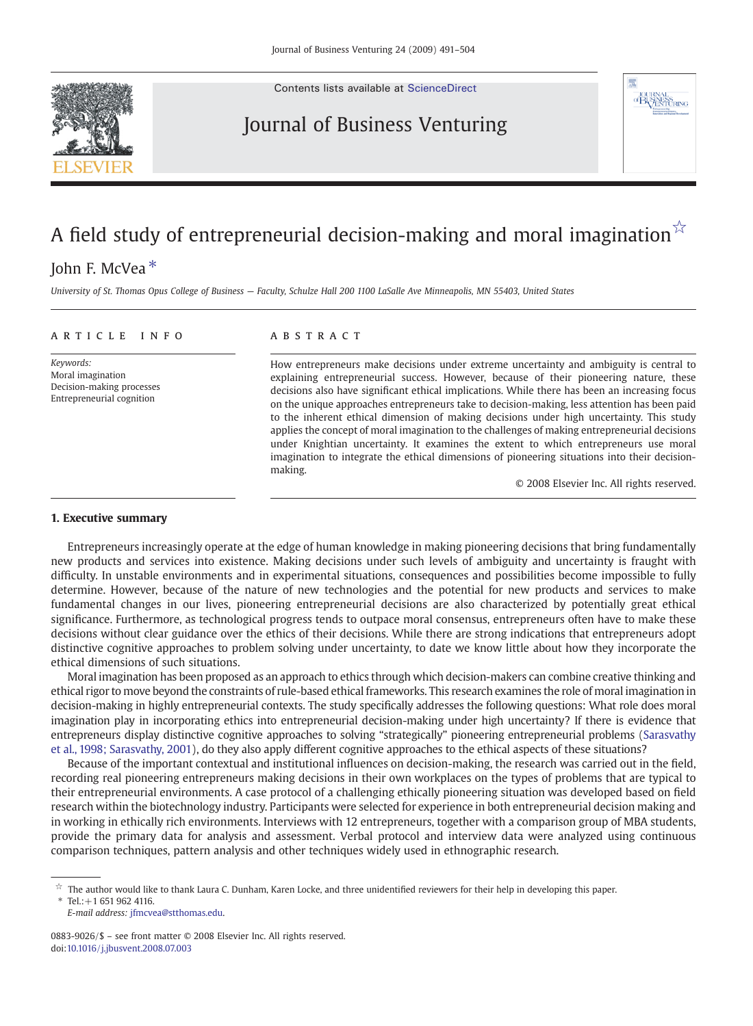

Contents lists available at [ScienceDirect](http://www.sciencedirect.com/science/journal/08839026)

# Journal of Business Venturing



# A field study of entrepreneurial decision-making and moral imagination  $\hat{X}$

## John F. McVea<sup>\*</sup>

University of St. Thomas Opus College of Business — Faculty, Schulze Hall 200 1100 LaSalle Ave Minneapolis, MN 55403, United States

#### article info abstract

Keywords: Moral imagination Decision-making processes Entrepreneurial cognition

How entrepreneurs make decisions under extreme uncertainty and ambiguity is central to explaining entrepreneurial success. However, because of their pioneering nature, these decisions also have significant ethical implications. While there has been an increasing focus on the unique approaches entrepreneurs take to decision-making, less attention has been paid to the inherent ethical dimension of making decisions under high uncertainty. This study applies the concept of moral imagination to the challenges of making entrepreneurial decisions under Knightian uncertainty. It examines the extent to which entrepreneurs use moral imagination to integrate the ethical dimensions of pioneering situations into their decisionmaking.

© 2008 Elsevier Inc. All rights reserved.

#### 1. Executive summary

Entrepreneurs increasingly operate at the edge of human knowledge in making pioneering decisions that bring fundamentally new products and services into existence. Making decisions under such levels of ambiguity and uncertainty is fraught with difficulty. In unstable environments and in experimental situations, consequences and possibilities become impossible to fully determine. However, because of the nature of new technologies and the potential for new products and services to make fundamental changes in our lives, pioneering entrepreneurial decisions are also characterized by potentially great ethical significance. Furthermore, as technological progress tends to outpace moral consensus, entrepreneurs often have to make these decisions without clear guidance over the ethics of their decisions. While there are strong indications that entrepreneurs adopt distinctive cognitive approaches to problem solving under uncertainty, to date we know little about how they incorporate the ethical dimensions of such situations.

Moral imagination has been proposed as an approach to ethics through which decision-makers can combine creative thinking and ethical rigor to move beyond the constraints of rule-based ethical frameworks. This research examines the role of moral imagination in decision-making in highly entrepreneurial contexts. The study specifically addresses the following questions: What role does moral imagination play in incorporating ethics into entrepreneurial decision-making under high uncertainty? If there is evidence that entrepreneurs display distinctive cognitive approaches to solving "strategically" pioneering entrepreneurial problems [\(Sarasvathy](#page-13-0) [et al., 1998; Sarasvathy, 2001\)](#page-13-0), do they also apply different cognitive approaches to the ethical aspects of these situations?

Because of the important contextual and institutional influences on decision-making, the research was carried out in the field, recording real pioneering entrepreneurs making decisions in their own workplaces on the types of problems that are typical to their entrepreneurial environments. A case protocol of a challenging ethically pioneering situation was developed based on field research within the biotechnology industry. Participants were selected for experience in both entrepreneurial decision making and in working in ethically rich environments. Interviews with 12 entrepreneurs, together with a comparison group of MBA students, provide the primary data for analysis and assessment. Verbal protocol and interview data were analyzed using continuous comparison techniques, pattern analysis and other techniques widely used in ethnographic research.

 $*$  Tel: +1 651 962 4116.

E-mail address: [jfmcvea@stthomas.edu](mailto:jfmcvea@stthomas.edu).

0883-9026/\$ – see front matter © 2008 Elsevier Inc. All rights reserved. doi[:10.1016/j.jbusvent.2008.07.003](http://dx.doi.org/10.1016/j.jbusvent.2008.07.003)

<sup>☆</sup> The author would like to thank Laura C. Dunham, Karen Locke, and three unidentified reviewers for their help in developing this paper.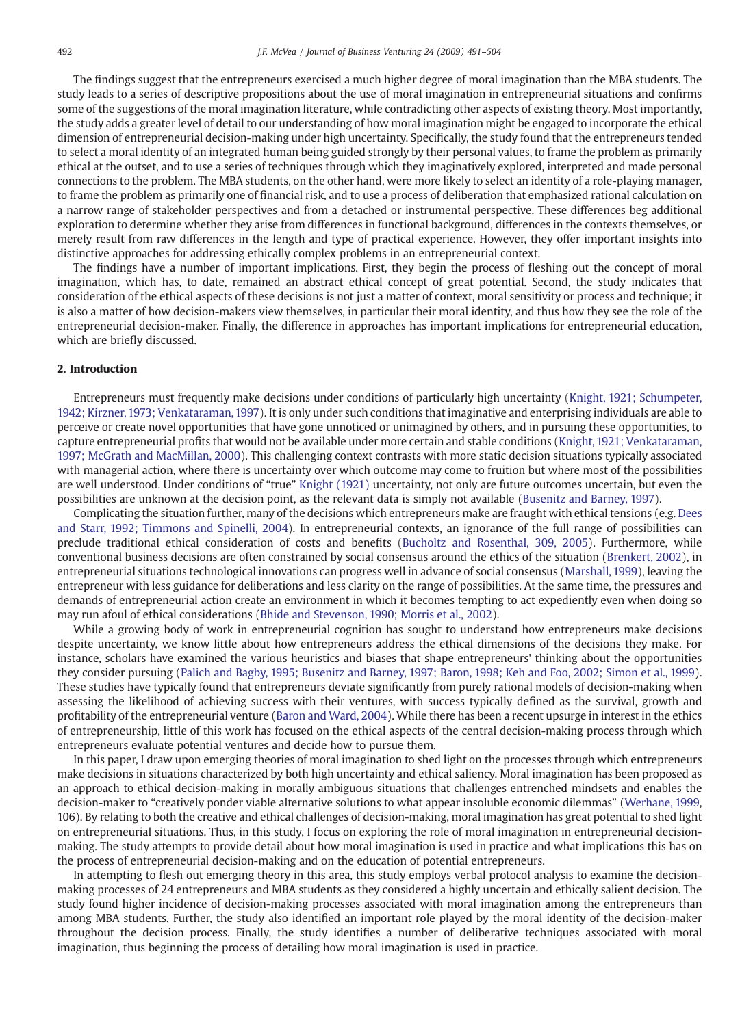The findings suggest that the entrepreneurs exercised a much higher degree of moral imagination than the MBA students. The study leads to a series of descriptive propositions about the use of moral imagination in entrepreneurial situations and confirms some of the suggestions of the moral imagination literature, while contradicting other aspects of existing theory. Most importantly, the study adds a greater level of detail to our understanding of how moral imagination might be engaged to incorporate the ethical dimension of entrepreneurial decision-making under high uncertainty. Specifically, the study found that the entrepreneurs tended to select a moral identity of an integrated human being guided strongly by their personal values, to frame the problem as primarily ethical at the outset, and to use a series of techniques through which they imaginatively explored, interpreted and made personal connections to the problem. The MBA students, on the other hand, were more likely to select an identity of a role-playing manager, to frame the problem as primarily one of financial risk, and to use a process of deliberation that emphasized rational calculation on a narrow range of stakeholder perspectives and from a detached or instrumental perspective. These differences beg additional exploration to determine whether they arise from differences in functional background, differences in the contexts themselves, or merely result from raw differences in the length and type of practical experience. However, they offer important insights into distinctive approaches for addressing ethically complex problems in an entrepreneurial context.

The findings have a number of important implications. First, they begin the process of fleshing out the concept of moral imagination, which has, to date, remained an abstract ethical concept of great potential. Second, the study indicates that consideration of the ethical aspects of these decisions is not just a matter of context, moral sensitivity or process and technique; it is also a matter of how decision-makers view themselves, in particular their moral identity, and thus how they see the role of the entrepreneurial decision-maker. Finally, the difference in approaches has important implications for entrepreneurial education, which are briefly discussed.

#### 2. Introduction

Entrepreneurs must frequently make decisions under conditions of particularly high uncertainty ([Knight, 1921; Schumpeter,](#page-13-0) [1942; Kirzner, 1973; Venkataraman, 1997](#page-13-0)). It is only under such conditions that imaginative and enterprising individuals are able to perceive or create novel opportunities that have gone unnoticed or unimagined by others, and in pursuing these opportunities, to capture entrepreneurial profits that would not be available under more certain and stable conditions ([Knight, 1921; Venkataraman,](#page-13-0) [1997; McGrath and MacMillan, 2000\)](#page-13-0). This challenging context contrasts with more static decision situations typically associated with managerial action, where there is uncertainty over which outcome may come to fruition but where most of the possibilities are well understood. Under conditions of "true" [Knight \(1921\)](#page-13-0) uncertainty, not only are future outcomes uncertain, but even the possibilities are unknown at the decision point, as the relevant data is simply not available ([Busenitz and Barney, 1997](#page-13-0)).

Complicating the situation further, many of the decisions which entrepreneurs make are fraught with ethical tensions (e.g. [Dees](#page-13-0) [and Starr, 1992; Timmons and Spinelli, 2004](#page-13-0)). In entrepreneurial contexts, an ignorance of the full range of possibilities can preclude traditional ethical consideration of costs and benefits ([Bucholtz and Rosenthal, 309, 2005](#page-13-0)). Furthermore, while conventional business decisions are often constrained by social consensus around the ethics of the situation ([Brenkert, 2002\)](#page-12-0), in entrepreneurial situations technological innovations can progress well in advance of social consensus [\(Marshall, 1999\)](#page-13-0), leaving the entrepreneur with less guidance for deliberations and less clarity on the range of possibilities. At the same time, the pressures and demands of entrepreneurial action create an environment in which it becomes tempting to act expediently even when doing so may run afoul of ethical considerations [\(Bhide and Stevenson, 1990; Morris et al., 2002\)](#page-12-0).

While a growing body of work in entrepreneurial cognition has sought to understand how entrepreneurs make decisions despite uncertainty, we know little about how entrepreneurs address the ethical dimensions of the decisions they make. For instance, scholars have examined the various heuristics and biases that shape entrepreneurs' thinking about the opportunities they consider pursuing ([Palich and Bagby, 1995; Busenitz and Barney, 1997; Baron, 1998; Keh and Foo, 2002; Simon et al., 1999](#page-13-0)). These studies have typically found that entrepreneurs deviate significantly from purely rational models of decision-making when assessing the likelihood of achieving success with their ventures, with success typically defined as the survival, growth and profitability of the entrepreneurial venture ([Baron and Ward, 2004\)](#page-12-0). While there has been a recent upsurge in interest in the ethics of entrepreneurship, little of this work has focused on the ethical aspects of the central decision-making process through which entrepreneurs evaluate potential ventures and decide how to pursue them.

In this paper, I draw upon emerging theories of moral imagination to shed light on the processes through which entrepreneurs make decisions in situations characterized by both high uncertainty and ethical saliency. Moral imagination has been proposed as an approach to ethical decision-making in morally ambiguous situations that challenges entrenched mindsets and enables the decision-maker to "creatively ponder viable alternative solutions to what appear insoluble economic dilemmas" ([Werhane, 1999,](#page-13-0) 106). By relating to both the creative and ethical challenges of decision-making, moral imagination has great potential to shed light on entrepreneurial situations. Thus, in this study, I focus on exploring the role of moral imagination in entrepreneurial decisionmaking. The study attempts to provide detail about how moral imagination is used in practice and what implications this has on the process of entrepreneurial decision-making and on the education of potential entrepreneurs.

In attempting to flesh out emerging theory in this area, this study employs verbal protocol analysis to examine the decisionmaking processes of 24 entrepreneurs and MBA students as they considered a highly uncertain and ethically salient decision. The study found higher incidence of decision-making processes associated with moral imagination among the entrepreneurs than among MBA students. Further, the study also identified an important role played by the moral identity of the decision-maker throughout the decision process. Finally, the study identifies a number of deliberative techniques associated with moral imagination, thus beginning the process of detailing how moral imagination is used in practice.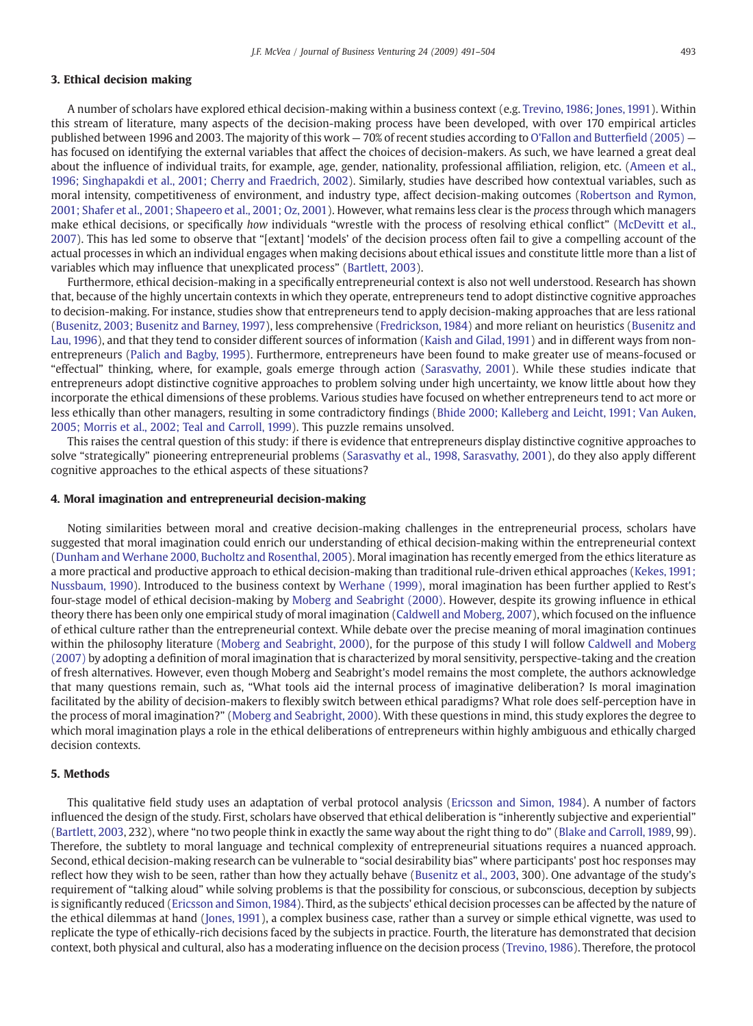#### 3. Ethical decision making

A number of scholars have explored ethical decision-making within a business context (e.g. [Trevino, 1986; Jones, 1991\)](#page-13-0). Within this stream of literature, many aspects of the decision-making process have been developed, with over 170 empirical articles published between 1996 and 2003. The majority of this work - 70% of recent studies according to [O'Fallon and Butter](#page-13-0)field (2005) has focused on identifying the external variables that affect the choices of decision-makers. As such, we have learned a great deal about the influence of individual traits, for example, age, gender, nationality, professional affiliation, religion, etc. [\(Ameen et al.,](#page-12-0) [1996; Singhapakdi et al., 2001; Cherry and Fraedrich, 2002\)](#page-12-0). Similarly, studies have described how contextual variables, such as moral intensity, competitiveness of environment, and industry type, affect decision-making outcomes [\(Robertson and Rymon,](#page-13-0) [2001; Shafer et al., 2001; Shapeero et al., 2001; Oz, 2001\)](#page-13-0). However, what remains less clear is the process through which managers make ethical decisions, or specifically how individuals "wrestle with the process of resolving ethical conflict" [\(McDevitt et al.,](#page-13-0) [2007](#page-13-0)). This has led some to observe that "[extant] 'models' of the decision process often fail to give a compelling account of the actual processes in which an individual engages when making decisions about ethical issues and constitute little more than a list of variables which may influence that unexplicated process" [\(Bartlett, 2003\)](#page-12-0).

Furthermore, ethical decision-making in a specifically entrepreneurial context is also not well understood. Research has shown that, because of the highly uncertain contexts in which they operate, entrepreneurs tend to adopt distinctive cognitive approaches to decision-making. For instance, studies show that entrepreneurs tend to apply decision-making approaches that are less rational [\(Busenitz, 2003; Busenitz and Barney, 1997\)](#page-13-0), less comprehensive ([Fredrickson, 1984](#page-13-0)) and more reliant on heuristics ([Busenitz and](#page-13-0) [Lau, 1996](#page-13-0)), and that they tend to consider different sources of information ([Kaish and Gilad, 1991\)](#page-13-0) and in different ways from nonentrepreneurs [\(Palich and Bagby, 1995\)](#page-13-0). Furthermore, entrepreneurs have been found to make greater use of means-focused or "effectual" thinking, where, for example, goals emerge through action [\(Sarasvathy, 2001\)](#page-13-0). While these studies indicate that entrepreneurs adopt distinctive cognitive approaches to problem solving under high uncertainty, we know little about how they incorporate the ethical dimensions of these problems. Various studies have focused on whether entrepreneurs tend to act more or less ethically than other managers, resulting in some contradictory findings ([Bhide 2000; Kalleberg and Leicht, 1991; Van Auken,](#page-12-0) [2005; Morris et al., 2002; Teal and Carroll, 1999\)](#page-12-0). This puzzle remains unsolved.

This raises the central question of this study: if there is evidence that entrepreneurs display distinctive cognitive approaches to solve "strategically" pioneering entrepreneurial problems ([Sarasvathy et al., 1998, Sarasvathy, 2001\)](#page-13-0), do they also apply different cognitive approaches to the ethical aspects of these situations?

#### 4. Moral imagination and entrepreneurial decision-making

Noting similarities between moral and creative decision-making challenges in the entrepreneurial process, scholars have suggested that moral imagination could enrich our understanding of ethical decision-making within the entrepreneurial context [\(Dunham and Werhane 2000, Bucholtz and Rosenthal, 2005](#page-13-0)). Moral imagination has recently emerged from the ethics literature as a more practical and productive approach to ethical decision-making than traditional rule-driven ethical approaches ([Kekes, 1991;](#page-13-0) [Nussbaum, 1990](#page-13-0)). Introduced to the business context by [Werhane \(1999\),](#page-13-0) moral imagination has been further applied to Rest's four-stage model of ethical decision-making by [Moberg and Seabright \(2000\)](#page-13-0). However, despite its growing influence in ethical theory there has been only one empirical study of moral imagination ([Caldwell and Moberg, 2007\)](#page-13-0), which focused on the influence of ethical culture rather than the entrepreneurial context. While debate over the precise meaning of moral imagination continues within the philosophy literature ([Moberg and Seabright, 2000\)](#page-13-0), for the purpose of this study I will follow [Caldwell and Moberg](#page-13-0) [\(2007\)](#page-13-0) by adopting a definition of moral imagination that is characterized by moral sensitivity, perspective-taking and the creation of fresh alternatives. However, even though Moberg and Seabright's model remains the most complete, the authors acknowledge that many questions remain, such as, "What tools aid the internal process of imaginative deliberation? Is moral imagination facilitated by the ability of decision-makers to flexibly switch between ethical paradigms? What role does self-perception have in the process of moral imagination?" ([Moberg and Seabright, 2000\)](#page-13-0). With these questions in mind, this study explores the degree to which moral imagination plays a role in the ethical deliberations of entrepreneurs within highly ambiguous and ethically charged decision contexts.

#### 5. Methods

This qualitative field study uses an adaptation of verbal protocol analysis [\(Ericsson and Simon, 1984\)](#page-13-0). A number of factors influenced the design of the study. First, scholars have observed that ethical deliberation is "inherently subjective and experiential" [\(Bartlett, 2003](#page-12-0), 232), where "no two people think in exactly the same way about the right thing to do" ([Blake and Carroll, 1989](#page-12-0), 99). Therefore, the subtlety to moral language and technical complexity of entrepreneurial situations requires a nuanced approach. Second, ethical decision-making research can be vulnerable to "social desirability bias" where participants' post hoc responses may reflect how they wish to be seen, rather than how they actually behave [\(Busenitz et al., 2003](#page-13-0), 300). One advantage of the study's requirement of "talking aloud" while solving problems is that the possibility for conscious, or subconscious, deception by subjects is significantly reduced [\(Ericsson and Simon,1984](#page-13-0)). Third, as the subjects' ethical decision processes can be affected by the nature of the ethical dilemmas at hand [\(Jones, 1991\)](#page-13-0), a complex business case, rather than a survey or simple ethical vignette, was used to replicate the type of ethically-rich decisions faced by the subjects in practice. Fourth, the literature has demonstrated that decision context, both physical and cultural, also has a moderating influence on the decision process [\(Trevino, 1986](#page-13-0)). Therefore, the protocol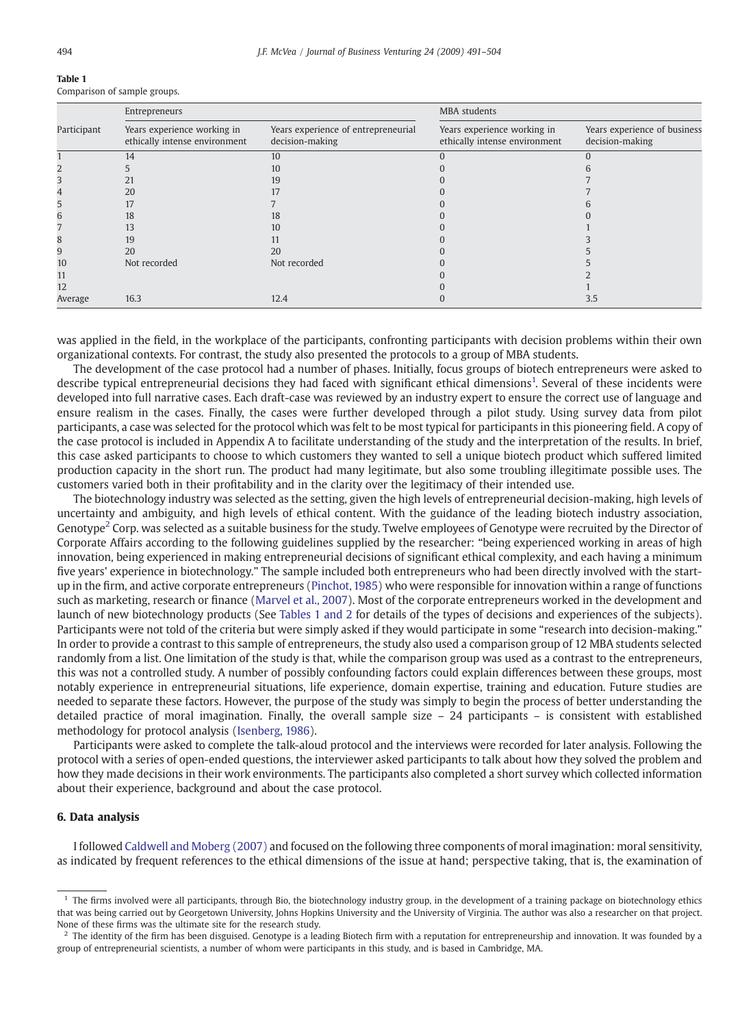| Table 1                      |  |  |
|------------------------------|--|--|
| Comparison of sample groups. |  |  |

|             | Entrepreneurs                                                |                                                        | MBA students                                                 |                                                 |  |
|-------------|--------------------------------------------------------------|--------------------------------------------------------|--------------------------------------------------------------|-------------------------------------------------|--|
| Participant | Years experience working in<br>ethically intense environment | Years experience of entrepreneurial<br>decision-making | Years experience working in<br>ethically intense environment | Years experience of business<br>decision-making |  |
|             | 14                                                           | 10                                                     |                                                              |                                                 |  |
|             |                                                              | 10                                                     |                                                              |                                                 |  |
|             | 21                                                           | 19                                                     |                                                              |                                                 |  |
|             | 20                                                           |                                                        |                                                              |                                                 |  |
|             |                                                              |                                                        |                                                              |                                                 |  |
|             | 18                                                           | 18                                                     |                                                              |                                                 |  |
|             | 13                                                           | 10                                                     |                                                              |                                                 |  |
|             | 19                                                           |                                                        |                                                              |                                                 |  |
| 9           | 20                                                           | 20                                                     |                                                              |                                                 |  |
| 10          | Not recorded                                                 | Not recorded                                           |                                                              |                                                 |  |
|             |                                                              |                                                        |                                                              |                                                 |  |
| 12          |                                                              |                                                        |                                                              |                                                 |  |
| Average     | 16.3                                                         | 12.4                                                   |                                                              | 3.5                                             |  |

was applied in the field, in the workplace of the participants, confronting participants with decision problems within their own organizational contexts. For contrast, the study also presented the protocols to a group of MBA students.

The development of the case protocol had a number of phases. Initially, focus groups of biotech entrepreneurs were asked to describe typical entrepreneurial decisions they had faced with significant ethical dimensions<sup>1</sup>. Several of these incidents were developed into full narrative cases. Each draft-case was reviewed by an industry expert to ensure the correct use of language and ensure realism in the cases. Finally, the cases were further developed through a pilot study. Using survey data from pilot participants, a case was selected for the protocol which was felt to be most typical for participants in this pioneering field. A copy of the case protocol is included in Appendix A to facilitate understanding of the study and the interpretation of the results. In brief, this case asked participants to choose to which customers they wanted to sell a unique biotech product which suffered limited production capacity in the short run. The product had many legitimate, but also some troubling illegitimate possible uses. The customers varied both in their profitability and in the clarity over the legitimacy of their intended use.

The biotechnology industry was selected as the setting, given the high levels of entrepreneurial decision-making, high levels of uncertainty and ambiguity, and high levels of ethical content. With the guidance of the leading biotech industry association, Genotype<sup>2</sup> Corp. was selected as a suitable business for the study. Twelve employees of Genotype were recruited by the Director of Corporate Affairs according to the following guidelines supplied by the researcher: "being experienced working in areas of high innovation, being experienced in making entrepreneurial decisions of significant ethical complexity, and each having a minimum five years' experience in biotechnology." The sample included both entrepreneurs who had been directly involved with the startup in the firm, and active corporate entrepreneurs [\(Pinchot, 1985](#page-13-0)) who were responsible for innovation within a range of functions such as marketing, research or finance ([Marvel et al., 2007](#page-13-0)). Most of the corporate entrepreneurs worked in the development and launch of new biotechnology products (See Tables 1 and 2 for details of the types of decisions and experiences of the subjects). Participants were not told of the criteria but were simply asked if they would participate in some "research into decision-making." In order to provide a contrast to this sample of entrepreneurs, the study also used a comparison group of 12 MBA students selected randomly from a list. One limitation of the study is that, while the comparison group was used as a contrast to the entrepreneurs, this was not a controlled study. A number of possibly confounding factors could explain differences between these groups, most notably experience in entrepreneurial situations, life experience, domain expertise, training and education. Future studies are needed to separate these factors. However, the purpose of the study was simply to begin the process of better understanding the detailed practice of moral imagination. Finally, the overall sample size – 24 participants – is consistent with established methodology for protocol analysis [\(Isenberg, 1986\)](#page-13-0).

Participants were asked to complete the talk-aloud protocol and the interviews were recorded for later analysis. Following the protocol with a series of open-ended questions, the interviewer asked participants to talk about how they solved the problem and how they made decisions in their work environments. The participants also completed a short survey which collected information about their experience, background and about the case protocol.

#### 6. Data analysis

I followed [Caldwell and Moberg \(2007\)](#page-13-0) and focused on the following three components of moral imagination: moral sensitivity, as indicated by frequent references to the ethical dimensions of the issue at hand; perspective taking, that is, the examination of

 $<sup>1</sup>$  The firms involved were all participants, through Bio, the biotechnology industry group, in the development of a training package on biotechnology ethics</sup> that was being carried out by Georgetown University, Johns Hopkins University and the University of Virginia. The author was also a researcher on that project. None of these firms was the ultimate site for the research study.

 $<sup>2</sup>$  The identity of the firm has been disguised. Genotype is a leading Biotech firm with a reputation for entrepreneurship and innovation. It was founded by a</sup> group of entrepreneurial scientists, a number of whom were participants in this study, and is based in Cambridge, MA.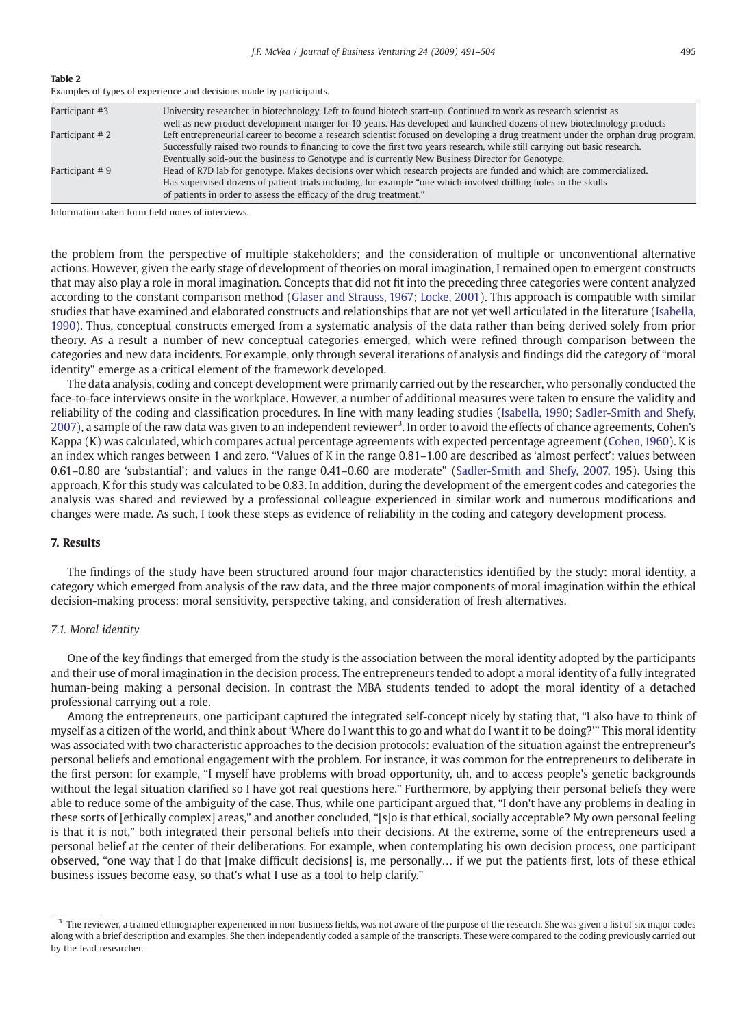#### Table 2

|  |  |  | Examples of types of experience and decisions made by participants. |  |  |
|--|--|--|---------------------------------------------------------------------|--|--|
|--|--|--|---------------------------------------------------------------------|--|--|

| Participant #3  | University researcher in biotechnology. Left to found biotech start-up. Continued to work as research scientist as               |
|-----------------|----------------------------------------------------------------------------------------------------------------------------------|
|                 | well as new product development manger for 10 years. Has developed and launched dozens of new biotechnology products             |
| Participant # 2 | Left entrepreneurial career to become a research scientist focused on developing a drug treatment under the orphan drug program. |
|                 | Successfully raised two rounds to financing to cove the first two years research, while still carrying out basic research.       |
|                 | Eventually sold-out the business to Genotype and is currently New Business Director for Genotype.                                |
| Participant #9  | Head of R7D lab for genotype. Makes decisions over which research projects are funded and which are commercialized.              |
|                 | Has supervised dozens of patient trials including, for example "one which involved drilling holes in the skulls                  |
|                 | of patients in order to assess the efficacy of the drug treatment."                                                              |
|                 |                                                                                                                                  |

Information taken form field notes of interviews.

the problem from the perspective of multiple stakeholders; and the consideration of multiple or unconventional alternative actions. However, given the early stage of development of theories on moral imagination, I remained open to emergent constructs that may also play a role in moral imagination. Concepts that did not fit into the preceding three categories were content analyzed according to the constant comparison method ([Glaser and Strauss, 1967; Locke, 2001\)](#page-13-0). This approach is compatible with similar studies that have examined and elaborated constructs and relationships that are not yet well articulated in the literature ([Isabella,](#page-13-0) [1990\)](#page-13-0). Thus, conceptual constructs emerged from a systematic analysis of the data rather than being derived solely from prior theory. As a result a number of new conceptual categories emerged, which were refined through comparison between the categories and new data incidents. For example, only through several iterations of analysis and findings did the category of "moral identity" emerge as a critical element of the framework developed.

The data analysis, coding and concept development were primarily carried out by the researcher, who personally conducted the face-to-face interviews onsite in the workplace. However, a number of additional measures were taken to ensure the validity and reliability of the coding and classification procedures. In line with many leading studies [\(Isabella, 1990; Sadler-Smith and Shefy,](#page-13-0) [2007](#page-13-0)), a sample of the raw data was given to an independent reviewer $^3$ . In order to avoid the effects of chance agreements, Cohen's Kappa (K) was calculated, which compares actual percentage agreements with expected percentage agreement ([Cohen, 1960](#page-13-0)). K is an index which ranges between 1 and zero. "Values of K in the range 0.81–1.00 are described as 'almost perfect'; values between 0.61–0.80 are 'substantial'; and values in the range 0.41–0.60 are moderate" ([Sadler-Smith and Shefy, 2007,](#page-13-0) 195). Using this approach, K for this study was calculated to be 0.83. In addition, during the development of the emergent codes and categories the analysis was shared and reviewed by a professional colleague experienced in similar work and numerous modifications and changes were made. As such, I took these steps as evidence of reliability in the coding and category development process.

#### 7. Results

The findings of the study have been structured around four major characteristics identified by the study: moral identity, a category which emerged from analysis of the raw data, and the three major components of moral imagination within the ethical decision-making process: moral sensitivity, perspective taking, and consideration of fresh alternatives.

#### 7.1. Moral identity

One of the key findings that emerged from the study is the association between the moral identity adopted by the participants and their use of moral imagination in the decision process. The entrepreneurs tended to adopt a moral identity of a fully integrated human-being making a personal decision. In contrast the MBA students tended to adopt the moral identity of a detached professional carrying out a role.

Among the entrepreneurs, one participant captured the integrated self-concept nicely by stating that, "I also have to think of myself as a citizen of the world, and think about 'Where do I want this to go and what do I want it to be doing?'" This moral identity was associated with two characteristic approaches to the decision protocols: evaluation of the situation against the entrepreneur's personal beliefs and emotional engagement with the problem. For instance, it was common for the entrepreneurs to deliberate in the first person; for example, "I myself have problems with broad opportunity, uh, and to access people's genetic backgrounds without the legal situation clarified so I have got real questions here." Furthermore, by applying their personal beliefs they were able to reduce some of the ambiguity of the case. Thus, while one participant argued that, "I don't have any problems in dealing in these sorts of [ethically complex] areas," and another concluded, "[s]o is that ethical, socially acceptable? My own personal feeling is that it is not," both integrated their personal beliefs into their decisions. At the extreme, some of the entrepreneurs used a personal belief at the center of their deliberations. For example, when contemplating his own decision process, one participant observed, "one way that I do that [make difficult decisions] is, me personally… if we put the patients first, lots of these ethical business issues become easy, so that's what I use as a tool to help clarify."

 $3$  The reviewer, a trained ethnographer experienced in non-business fields, was not aware of the purpose of the research. She was given a list of six major codes along with a brief description and examples. She then independently coded a sample of the transcripts. These were compared to the coding previously carried out by the lead researcher.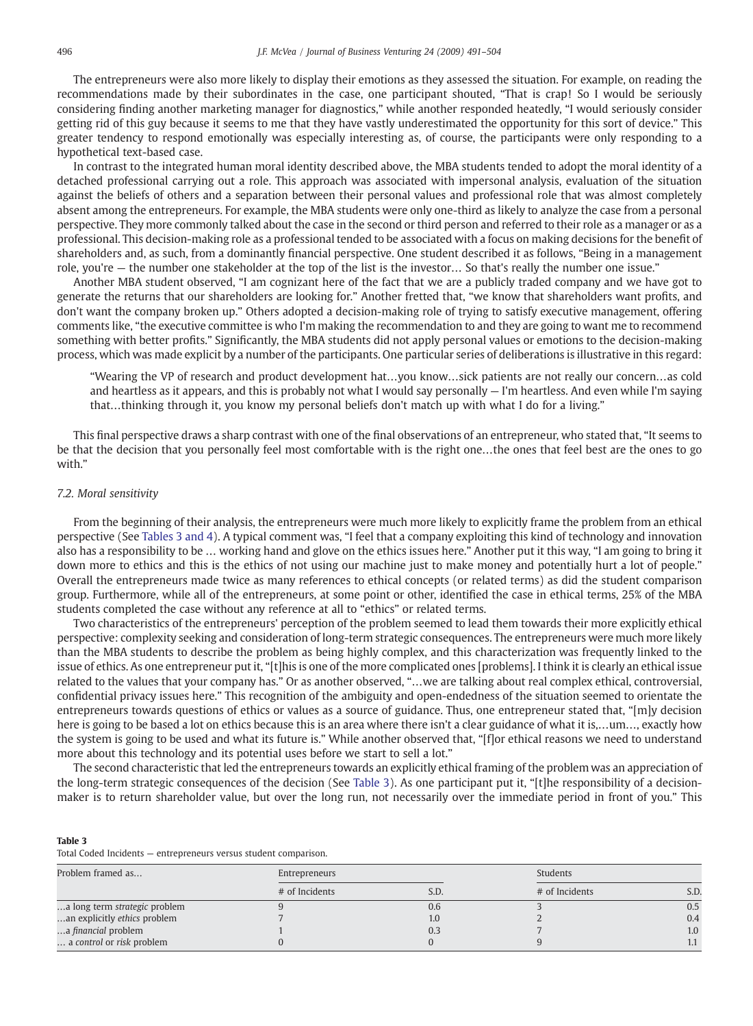<span id="page-5-0"></span>The entrepreneurs were also more likely to display their emotions as they assessed the situation. For example, on reading the recommendations made by their subordinates in the case, one participant shouted, "That is crap! So I would be seriously considering finding another marketing manager for diagnostics," while another responded heatedly, "I would seriously consider getting rid of this guy because it seems to me that they have vastly underestimated the opportunity for this sort of device." This greater tendency to respond emotionally was especially interesting as, of course, the participants were only responding to a hypothetical text-based case.

In contrast to the integrated human moral identity described above, the MBA students tended to adopt the moral identity of a detached professional carrying out a role. This approach was associated with impersonal analysis, evaluation of the situation against the beliefs of others and a separation between their personal values and professional role that was almost completely absent among the entrepreneurs. For example, the MBA students were only one-third as likely to analyze the case from a personal perspective. They more commonly talked about the case in the second or third person and referred to their role as a manager or as a professional. This decision-making role as a professional tended to be associated with a focus on making decisions for the benefit of shareholders and, as such, from a dominantly financial perspective. One student described it as follows, "Being in a management role, you're — the number one stakeholder at the top of the list is the investor… So that's really the number one issue."

Another MBA student observed, "I am cognizant here of the fact that we are a publicly traded company and we have got to generate the returns that our shareholders are looking for." Another fretted that, "we know that shareholders want profits, and don't want the company broken up." Others adopted a decision-making role of trying to satisfy executive management, offering comments like, "the executive committee is who I'm making the recommendation to and they are going to want me to recommend something with better profits." Significantly, the MBA students did not apply personal values or emotions to the decision-making process, which was made explicit by a number of the participants. One particular series of deliberations is illustrative in this regard:

"Wearing the VP of research and product development hat…you know…sick patients are not really our concern…as cold and heartless as it appears, and this is probably not what I would say personally — I'm heartless. And even while I'm saying that…thinking through it, you know my personal beliefs don't match up with what I do for a living."

This final perspective draws a sharp contrast with one of the final observations of an entrepreneur, who stated that, "It seems to be that the decision that you personally feel most comfortable with is the right one…the ones that feel best are the ones to go with."

#### 7.2. Moral sensitivity

Table 3

From the beginning of their analysis, the entrepreneurs were much more likely to explicitly frame the problem from an ethical perspective (See Tables 3 and 4). A typical comment was, "I feel that a company exploiting this kind of technology and innovation also has a responsibility to be … working hand and glove on the ethics issues here." Another put it this way, "I am going to bring it down more to ethics and this is the ethics of not using our machine just to make money and potentially hurt a lot of people." Overall the entrepreneurs made twice as many references to ethical concepts (or related terms) as did the student comparison group. Furthermore, while all of the entrepreneurs, at some point or other, identified the case in ethical terms, 25% of the MBA students completed the case without any reference at all to "ethics" or related terms.

Two characteristics of the entrepreneurs' perception of the problem seemed to lead them towards their more explicitly ethical perspective: complexity seeking and consideration of long-term strategic consequences. The entrepreneurs were much more likely than the MBA students to describe the problem as being highly complex, and this characterization was frequently linked to the issue of ethics. As one entrepreneur put it, "[t]his is one of the more complicated ones [problems]. I think it is clearly an ethical issue related to the values that your company has." Or as another observed, "…we are talking about real complex ethical, controversial, confidential privacy issues here." This recognition of the ambiguity and open-endedness of the situation seemed to orientate the entrepreneurs towards questions of ethics or values as a source of guidance. Thus, one entrepreneur stated that, "[m]y decision here is going to be based a lot on ethics because this is an area where there isn't a clear guidance of what it is,...um..., exactly how the system is going to be used and what its future is." While another observed that, "[f]or ethical reasons we need to understand more about this technology and its potential uses before we start to sell a lot."

The second characteristic that led the entrepreneurs towards an explicitly ethical framing of the problem was an appreciation of the long-term strategic consequences of the decision (See Table 3). As one participant put it, "[t]he responsibility of a decisionmaker is to return shareholder value, but over the long run, not necessarily over the immediate period in front of you." This

| Problem framed as<br>Entrepreneurs |  |  |
|------------------------------------|--|--|

Total Coded Incidents — entrepreneurs versus student comparison.

| Problem framed as             | Entrepreneurs  |      | Students       |      |
|-------------------------------|----------------|------|----------------|------|
|                               | # of Incidents | S.D. | # of Incidents | S.D. |
| a long term strategic problem |                | 0.6  |                | 0.5  |
| an explicitly ethics problem  |                | 1.0  |                | 0.4  |
| a <i>financial</i> problem    |                | 0.3  |                | 1.0  |
| a control or risk problem     |                |      |                |      |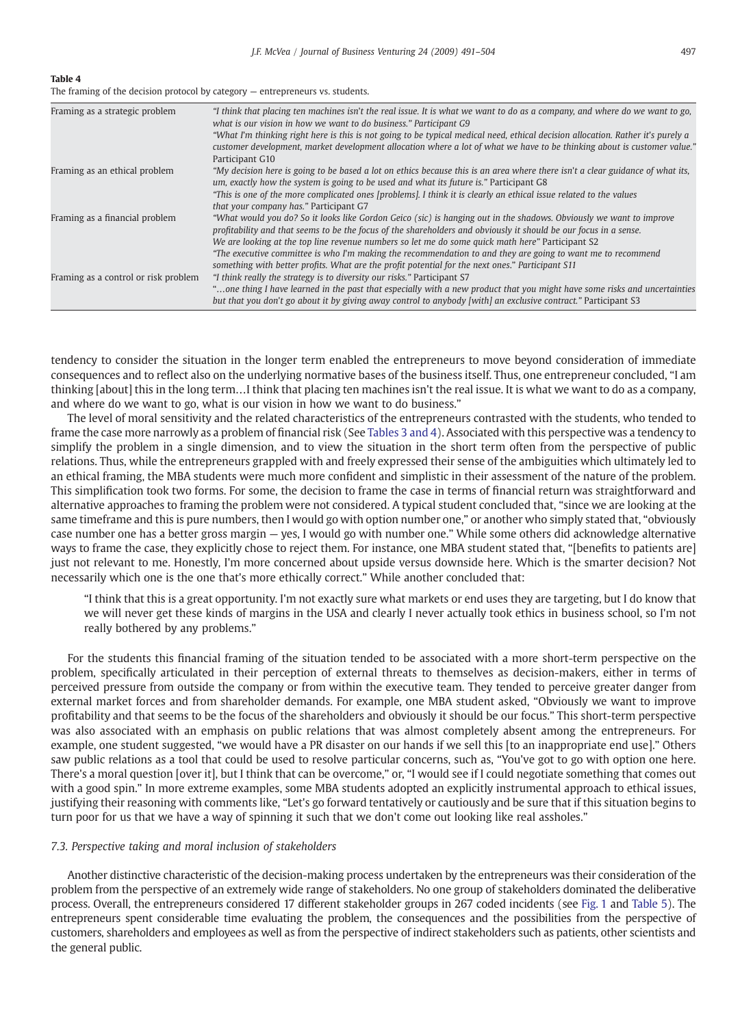#### Table 4

The framing of the decision protocol by category — entrepreneurs vs. students.

| Framing as a strategic problem       | "I think that placing ten machines isn't the real issue. It is what we want to do as a company, and where do we want to go,<br>what is our vision in how we want to do business." Participant G9<br>"What I'm thinking right here is this is not going to be typical medical need, ethical decision allocation. Rather it's purely a<br>customer development, market development allocation where a lot of what we have to be thinking about is customer value."<br>Participant G10 |
|--------------------------------------|-------------------------------------------------------------------------------------------------------------------------------------------------------------------------------------------------------------------------------------------------------------------------------------------------------------------------------------------------------------------------------------------------------------------------------------------------------------------------------------|
| Framing as an ethical problem        | "My decision here is going to be based a lot on ethics because this is an area where there isn't a clear guidance of what its,<br>um, exactly how the system is going to be used and what its future is." Participant G8                                                                                                                                                                                                                                                            |
|                                      | "This is one of the more complicated ones [problems]. I think it is clearly an ethical issue related to the values<br>that your company has." Participant G7                                                                                                                                                                                                                                                                                                                        |
| Framing as a financial problem       | "What would you do? So it looks like Gordon Geico (sic) is hanging out in the shadows. Obviously we want to improve<br>profitability and that seems to be the focus of the shareholders and obviously it should be our focus in a sense.<br>We are looking at the top line revenue numbers so let me do some quick math here" Participant S2                                                                                                                                        |
|                                      | "The executive committee is who I'm making the recommendation to and they are going to want me to recommend<br>something with better profits. What are the profit potential for the next ones." Participant S11                                                                                                                                                                                                                                                                     |
| Framing as a control or risk problem | "I think really the strategy is to diversity our risks." Participant S7<br>one thing I have learned in the past that especially with a new product that you might have some risks and uncertainties"<br>but that you don't go about it by giving away control to anybody [with] an exclusive contract." Participant S3                                                                                                                                                              |

tendency to consider the situation in the longer term enabled the entrepreneurs to move beyond consideration of immediate consequences and to reflect also on the underlying normative bases of the business itself. Thus, one entrepreneur concluded, "I am thinking [about] this in the long term…I think that placing ten machines isn't the real issue. It is what we want to do as a company, and where do we want to go, what is our vision in how we want to do business."

The level of moral sensitivity and the related characteristics of the entrepreneurs contrasted with the students, who tended to frame the case more narrowly as a problem of financial risk (See [Tables 3 and 4\)](#page-5-0). Associated with this perspective was a tendency to simplify the problem in a single dimension, and to view the situation in the short term often from the perspective of public relations. Thus, while the entrepreneurs grappled with and freely expressed their sense of the ambiguities which ultimately led to an ethical framing, the MBA students were much more confident and simplistic in their assessment of the nature of the problem. This simplification took two forms. For some, the decision to frame the case in terms of financial return was straightforward and alternative approaches to framing the problem were not considered. A typical student concluded that, "since we are looking at the same timeframe and this is pure numbers, then I would go with option number one," or another who simply stated that, "obviously case number one has a better gross margin — yes, I would go with number one." While some others did acknowledge alternative ways to frame the case, they explicitly chose to reject them. For instance, one MBA student stated that, "[benefits to patients are] just not relevant to me. Honestly, I'm more concerned about upside versus downside here. Which is the smarter decision? Not necessarily which one is the one that's more ethically correct." While another concluded that:

"I think that this is a great opportunity. I'm not exactly sure what markets or end uses they are targeting, but I do know that we will never get these kinds of margins in the USA and clearly I never actually took ethics in business school, so I'm not really bothered by any problems."

For the students this financial framing of the situation tended to be associated with a more short-term perspective on the problem, specifically articulated in their perception of external threats to themselves as decision-makers, either in terms of perceived pressure from outside the company or from within the executive team. They tended to perceive greater danger from external market forces and from shareholder demands. For example, one MBA student asked, "Obviously we want to improve profitability and that seems to be the focus of the shareholders and obviously it should be our focus." This short-term perspective was also associated with an emphasis on public relations that was almost completely absent among the entrepreneurs. For example, one student suggested, "we would have a PR disaster on our hands if we sell this [to an inappropriate end use]." Others saw public relations as a tool that could be used to resolve particular concerns, such as, "You've got to go with option one here. There's a moral question [over it], but I think that can be overcome," or, "I would see if I could negotiate something that comes out with a good spin." In more extreme examples, some MBA students adopted an explicitly instrumental approach to ethical issues, justifying their reasoning with comments like, "Let's go forward tentatively or cautiously and be sure that if this situation begins to turn poor for us that we have a way of spinning it such that we don't come out looking like real assholes."

#### 7.3. Perspective taking and moral inclusion of stakeholders

Another distinctive characteristic of the decision-making process undertaken by the entrepreneurs was their consideration of the problem from the perspective of an extremely wide range of stakeholders. No one group of stakeholders dominated the deliberative process. Overall, the entrepreneurs considered 17 different stakeholder groups in 267 coded incidents (see [Fig. 1](#page-7-0) and [Table 5](#page-7-0)). The entrepreneurs spent considerable time evaluating the problem, the consequences and the possibilities from the perspective of customers, shareholders and employees as well as from the perspective of indirect stakeholders such as patients, other scientists and the general public.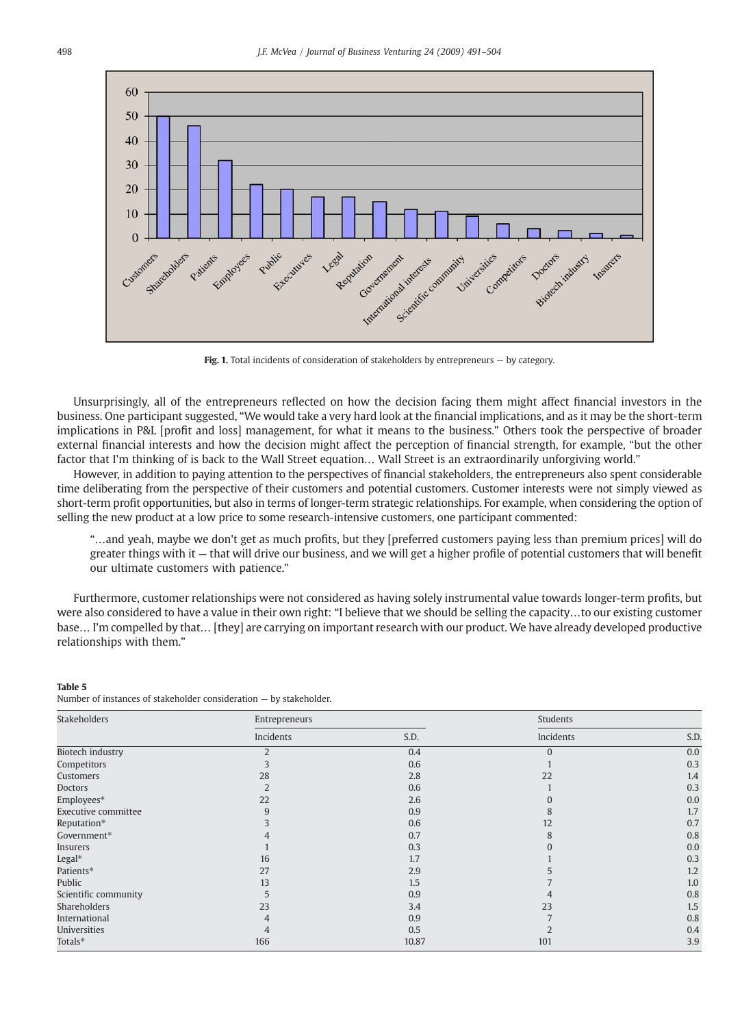<span id="page-7-0"></span>

Fig. 1. Total incidents of consideration of stakeholders by entrepreneurs - by category.

Unsurprisingly, all of the entrepreneurs reflected on how the decision facing them might affect financial investors in the business. One participant suggested, "We would take a very hard look at the financial implications, and as it may be the short-term implications in P&L [profit and loss] management, for what it means to the business." Others took the perspective of broader external financial interests and how the decision might affect the perception of financial strength, for example, "but the other factor that I'm thinking of is back to the Wall Street equation… Wall Street is an extraordinarily unforgiving world."

However, in addition to paying attention to the perspectives of financial stakeholders, the entrepreneurs also spent considerable time deliberating from the perspective of their customers and potential customers. Customer interests were not simply viewed as short-term profit opportunities, but also in terms of longer-term strategic relationships. For example, when considering the option of selling the new product at a low price to some research-intensive customers, one participant commented:

"…and yeah, maybe we don't get as much profits, but they [preferred customers paying less than premium prices] will do greater things with it — that will drive our business, and we will get a higher profile of potential customers that will benefit our ultimate customers with patience."

Furthermore, customer relationships were not considered as having solely instrumental value towards longer-term profits, but were also considered to have a value in their own right: "I believe that we should be selling the capacity…to our existing customer base… I'm compelled by that… [they] are carrying on important research with our product. We have already developed productive relationships with them."

| <b>Stakeholders</b>     | Entrepreneurs  |       |           | Students |  |
|-------------------------|----------------|-------|-----------|----------|--|
|                         | Incidents      | S.D.  | Incidents | S.D.     |  |
| <b>Biotech industry</b> | $\overline{2}$ | 0.4   | $\Omega$  | 0.0      |  |
| Competitors             | 3              | 0.6   |           | 0.3      |  |
| Customers               | 28             | 2.8   | 22        | 1.4      |  |
| <b>Doctors</b>          | $\overline{2}$ | 0.6   |           | 0.3      |  |
| Employees*              | 22             | 2.6   |           | 0.0      |  |
| Executive committee     | 9              | 0.9   | 8         | 1.7      |  |
| Reputation*             |                | 0.6   | 12        | 0.7      |  |
| Government*             |                | 0.7   |           | 0.8      |  |
| Insurers                |                | 0.3   |           | 0.0      |  |
| Legal*                  | 16             | 1.7   |           | 0.3      |  |
| Patients*               | 27             | 2.9   |           | 1.2      |  |
| Public                  | 13             | 1.5   |           | 1.0      |  |
| Scientific community    | 5              | 0.9   | 4         | 0.8      |  |
| Shareholders            | 23             | 3.4   | 23        | 1.5      |  |
| International           | $\overline{4}$ | 0.9   |           | 0.8      |  |
| Universities            | 4              | 0.5   |           | 0.4      |  |
| Totals*                 | 166            | 10.87 | 101       | 3.9      |  |

Table 5 Number of instances of stakeholder consideration — by stakeholder.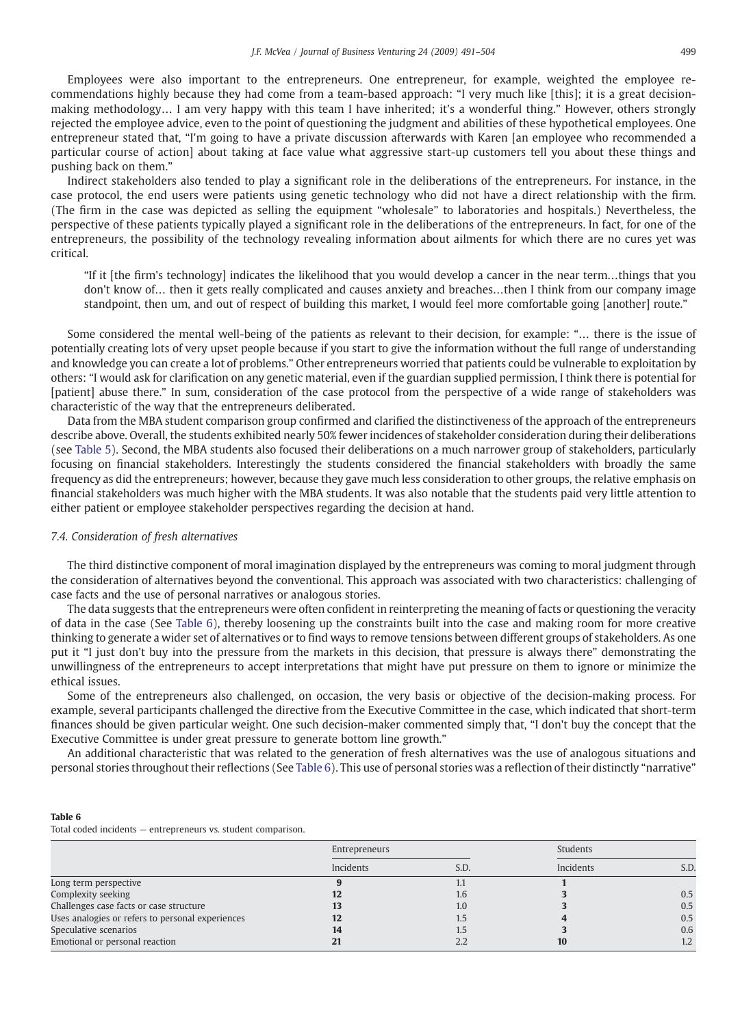Employees were also important to the entrepreneurs. One entrepreneur, for example, weighted the employee recommendations highly because they had come from a team-based approach: "I very much like [this]; it is a great decisionmaking methodology… I am very happy with this team I have inherited; it's a wonderful thing." However, others strongly rejected the employee advice, even to the point of questioning the judgment and abilities of these hypothetical employees. One entrepreneur stated that, "I'm going to have a private discussion afterwards with Karen [an employee who recommended a particular course of action] about taking at face value what aggressive start-up customers tell you about these things and pushing back on them."

Indirect stakeholders also tended to play a significant role in the deliberations of the entrepreneurs. For instance, in the case protocol, the end users were patients using genetic technology who did not have a direct relationship with the firm. (The firm in the case was depicted as selling the equipment "wholesale" to laboratories and hospitals.) Nevertheless, the perspective of these patients typically played a significant role in the deliberations of the entrepreneurs. In fact, for one of the entrepreneurs, the possibility of the technology revealing information about ailments for which there are no cures yet was critical.

"If it [the firm's technology] indicates the likelihood that you would develop a cancer in the near term…things that you don't know of… then it gets really complicated and causes anxiety and breaches…then I think from our company image standpoint, then um, and out of respect of building this market, I would feel more comfortable going [another] route."

Some considered the mental well-being of the patients as relevant to their decision, for example: "… there is the issue of potentially creating lots of very upset people because if you start to give the information without the full range of understanding and knowledge you can create a lot of problems." Other entrepreneurs worried that patients could be vulnerable to exploitation by others: "I would ask for clarification on any genetic material, even if the guardian supplied permission, I think there is potential for [patient] abuse there." In sum, consideration of the case protocol from the perspective of a wide range of stakeholders was characteristic of the way that the entrepreneurs deliberated.

Data from the MBA student comparison group confirmed and clarified the distinctiveness of the approach of the entrepreneurs describe above. Overall, the students exhibited nearly 50% fewer incidences of stakeholder consideration during their deliberations (see [Table 5](#page-7-0)). Second, the MBA students also focused their deliberations on a much narrower group of stakeholders, particularly focusing on financial stakeholders. Interestingly the students considered the financial stakeholders with broadly the same frequency as did the entrepreneurs; however, because they gave much less consideration to other groups, the relative emphasis on financial stakeholders was much higher with the MBA students. It was also notable that the students paid very little attention to either patient or employee stakeholder perspectives regarding the decision at hand.

#### 7.4. Consideration of fresh alternatives

The third distinctive component of moral imagination displayed by the entrepreneurs was coming to moral judgment through the consideration of alternatives beyond the conventional. This approach was associated with two characteristics: challenging of case facts and the use of personal narratives or analogous stories.

The data suggests that the entrepreneurs were often confident in reinterpreting the meaning of facts or questioning the veracity of data in the case (See Table 6), thereby loosening up the constraints built into the case and making room for more creative thinking to generate a wider set of alternatives or to find ways to remove tensions between different groups of stakeholders. As one put it "I just don't buy into the pressure from the markets in this decision, that pressure is always there" demonstrating the unwillingness of the entrepreneurs to accept interpretations that might have put pressure on them to ignore or minimize the ethical issues.

Some of the entrepreneurs also challenged, on occasion, the very basis or objective of the decision-making process. For example, several participants challenged the directive from the Executive Committee in the case, which indicated that short-term finances should be given particular weight. One such decision-maker commented simply that, "I don't buy the concept that the Executive Committee is under great pressure to generate bottom line growth."

An additional characteristic that was related to the generation of fresh alternatives was the use of analogous situations and personal stories throughout their reflections (See Table 6). This use of personal stories was a reflection of their distinctly "narrative"

#### Table 6

Total coded incidents — entrepreneurs vs. student comparison.

|                                                  | Entrepreneurs |      | Students  |      |
|--------------------------------------------------|---------------|------|-----------|------|
|                                                  | Incidents     | S.D. | Incidents | S.D. |
| Long term perspective                            |               |      |           |      |
| Complexity seeking                               | 12            | 1.6  |           | 0.5  |
| Challenges case facts or case structure          |               | 1.0  |           | 0.5  |
| Uses analogies or refers to personal experiences | 12            | 1.5  |           | 0.5  |
| Speculative scenarios                            | 14            | 1.5  |           | 0.6  |
| Emotional or personal reaction                   | 21            |      | 10        | 1.2  |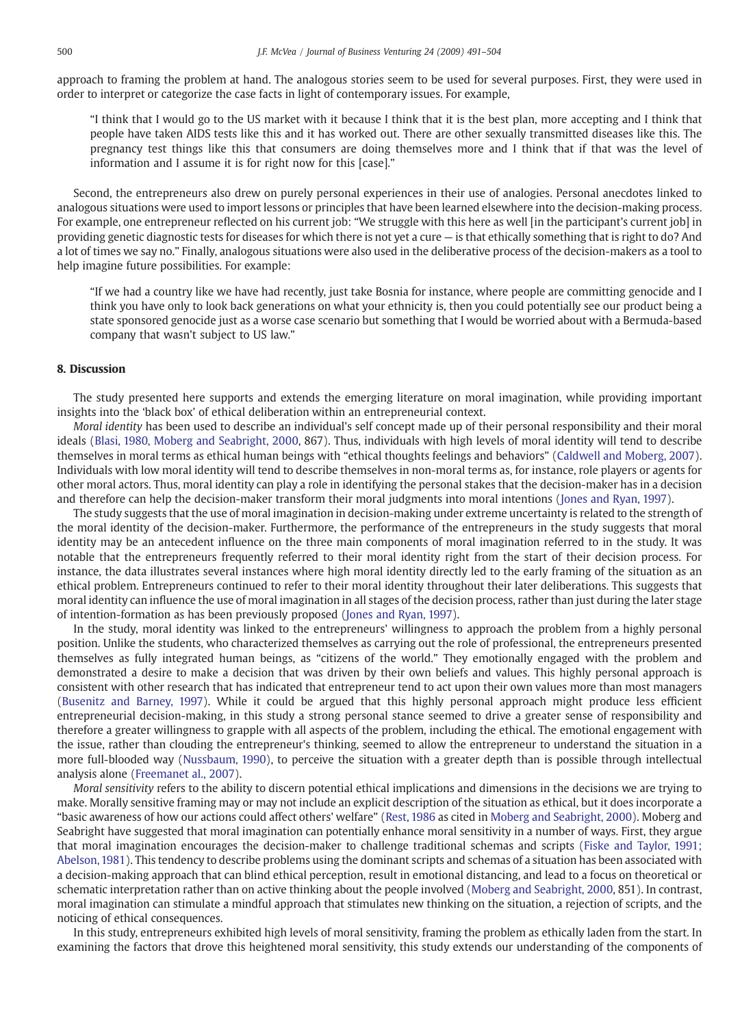approach to framing the problem at hand. The analogous stories seem to be used for several purposes. First, they were used in order to interpret or categorize the case facts in light of contemporary issues. For example,

"I think that I would go to the US market with it because I think that it is the best plan, more accepting and I think that people have taken AIDS tests like this and it has worked out. There are other sexually transmitted diseases like this. The pregnancy test things like this that consumers are doing themselves more and I think that if that was the level of information and I assume it is for right now for this [case]."

Second, the entrepreneurs also drew on purely personal experiences in their use of analogies. Personal anecdotes linked to analogous situations were used to import lessons or principles that have been learned elsewhere into the decision-making process. For example, one entrepreneur reflected on his current job: "We struggle with this here as well [in the participant's current job] in providing genetic diagnostic tests for diseases for which there is not yet a cure — is that ethically something that is right to do? And a lot of times we say no." Finally, analogous situations were also used in the deliberative process of the decision-makers as a tool to help imagine future possibilities. For example:

"If we had a country like we have had recently, just take Bosnia for instance, where people are committing genocide and I think you have only to look back generations on what your ethnicity is, then you could potentially see our product being a state sponsored genocide just as a worse case scenario but something that I would be worried about with a Bermuda-based company that wasn't subject to US law."

#### 8. Discussion

The study presented here supports and extends the emerging literature on moral imagination, while providing important insights into the 'black box' of ethical deliberation within an entrepreneurial context.

Moral identity has been used to describe an individual's self concept made up of their personal responsibility and their moral ideals [\(Blasi, 1980, Moberg and Seabright, 2000,](#page-12-0) 867). Thus, individuals with high levels of moral identity will tend to describe themselves in moral terms as ethical human beings with "ethical thoughts feelings and behaviors" ([Caldwell and Moberg, 2007](#page-13-0)). Individuals with low moral identity will tend to describe themselves in non-moral terms as, for instance, role players or agents for other moral actors. Thus, moral identity can play a role in identifying the personal stakes that the decision-maker has in a decision and therefore can help the decision-maker transform their moral judgments into moral intentions [\(Jones and Ryan, 1997](#page-13-0)).

The study suggests that the use of moral imagination in decision-making under extreme uncertainty is related to the strength of the moral identity of the decision-maker. Furthermore, the performance of the entrepreneurs in the study suggests that moral identity may be an antecedent influence on the three main components of moral imagination referred to in the study. It was notable that the entrepreneurs frequently referred to their moral identity right from the start of their decision process. For instance, the data illustrates several instances where high moral identity directly led to the early framing of the situation as an ethical problem. Entrepreneurs continued to refer to their moral identity throughout their later deliberations. This suggests that moral identity can influence the use of moral imagination in all stages of the decision process, rather than just during the later stage of intention-formation as has been previously proposed [\(Jones and Ryan, 1997\)](#page-13-0).

In the study, moral identity was linked to the entrepreneurs' willingness to approach the problem from a highly personal position. Unlike the students, who characterized themselves as carrying out the role of professional, the entrepreneurs presented themselves as fully integrated human beings, as "citizens of the world." They emotionally engaged with the problem and demonstrated a desire to make a decision that was driven by their own beliefs and values. This highly personal approach is consistent with other research that has indicated that entrepreneur tend to act upon their own values more than most managers ([Busenitz and Barney, 1997\)](#page-13-0). While it could be argued that this highly personal approach might produce less efficient entrepreneurial decision-making, in this study a strong personal stance seemed to drive a greater sense of responsibility and therefore a greater willingness to grapple with all aspects of the problem, including the ethical. The emotional engagement with the issue, rather than clouding the entrepreneur's thinking, seemed to allow the entrepreneur to understand the situation in a more full-blooded way [\(Nussbaum, 1990](#page-13-0)), to perceive the situation with a greater depth than is possible through intellectual analysis alone [\(Freemanet al., 2007\)](#page-13-0).

Moral sensitivity refers to the ability to discern potential ethical implications and dimensions in the decisions we are trying to make. Morally sensitive framing may or may not include an explicit description of the situation as ethical, but it does incorporate a "basic awareness of how our actions could affect others' welfare" ([Rest, 1986](#page-13-0) as cited in [Moberg and Seabright, 2000\)](#page-13-0). Moberg and Seabright have suggested that moral imagination can potentially enhance moral sensitivity in a number of ways. First, they argue that moral imagination encourages the decision-maker to challenge traditional schemas and scripts [\(Fiske and Taylor, 1991;](#page-13-0) [Abelson, 1981\)](#page-13-0). This tendency to describe problems using the dominant scripts and schemas of a situation has been associated with a decision-making approach that can blind ethical perception, result in emotional distancing, and lead to a focus on theoretical or schematic interpretation rather than on active thinking about the people involved ([Moberg and Seabright, 2000](#page-13-0), 851). In contrast, moral imagination can stimulate a mindful approach that stimulates new thinking on the situation, a rejection of scripts, and the noticing of ethical consequences.

In this study, entrepreneurs exhibited high levels of moral sensitivity, framing the problem as ethically laden from the start. In examining the factors that drove this heightened moral sensitivity, this study extends our understanding of the components of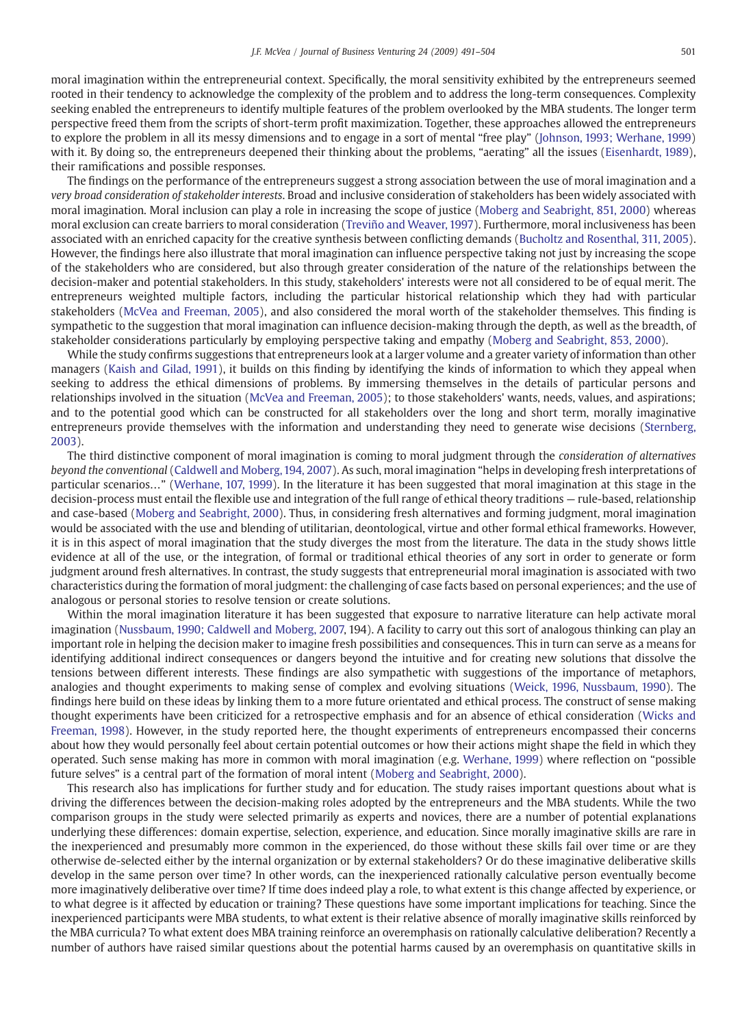moral imagination within the entrepreneurial context. Specifically, the moral sensitivity exhibited by the entrepreneurs seemed rooted in their tendency to acknowledge the complexity of the problem and to address the long-term consequences. Complexity seeking enabled the entrepreneurs to identify multiple features of the problem overlooked by the MBA students. The longer term perspective freed them from the scripts of short-term profit maximization. Together, these approaches allowed the entrepreneurs to explore the problem in all its messy dimensions and to engage in a sort of mental "free play" ([Johnson, 1993; Werhane, 1999\)](#page-13-0) with it. By doing so, the entrepreneurs deepened their thinking about the problems, "aerating" all the issues ([Eisenhardt, 1989\)](#page-13-0), their ramifications and possible responses.

The findings on the performance of the entrepreneurs suggest a strong association between the use of moral imagination and a very broad consideration of stakeholder interests. Broad and inclusive consideration of stakeholders has been widely associated with moral imagination. Moral inclusion can play a role in increasing the scope of justice ([Moberg and Seabright, 851, 2000\)](#page-13-0) whereas moral exclusion can create barriers to moral consideration [\(Treviño and Weaver, 1997](#page-13-0)). Furthermore, moral inclusiveness has been associated with an enriched capacity for the creative synthesis between conflicting demands [\(Bucholtz and Rosenthal, 311, 2005\)](#page-13-0). However, the findings here also illustrate that moral imagination can influence perspective taking not just by increasing the scope of the stakeholders who are considered, but also through greater consideration of the nature of the relationships between the decision-maker and potential stakeholders. In this study, stakeholders' interests were not all considered to be of equal merit. The entrepreneurs weighted multiple factors, including the particular historical relationship which they had with particular stakeholders [\(McVea and Freeman, 2005\)](#page-13-0), and also considered the moral worth of the stakeholder themselves. This finding is sympathetic to the suggestion that moral imagination can influence decision-making through the depth, as well as the breadth, of stakeholder considerations particularly by employing perspective taking and empathy [\(Moberg and Seabright, 853, 2000\)](#page-13-0).

While the study confirms suggestions that entrepreneurs look at a larger volume and a greater variety of information than other managers [\(Kaish and Gilad, 1991\)](#page-13-0), it builds on this finding by identifying the kinds of information to which they appeal when seeking to address the ethical dimensions of problems. By immersing themselves in the details of particular persons and relationships involved in the situation [\(McVea and Freeman, 2005\)](#page-13-0); to those stakeholders' wants, needs, values, and aspirations; and to the potential good which can be constructed for all stakeholders over the long and short term, morally imaginative entrepreneurs provide themselves with the information and understanding they need to generate wise decisions [\(Sternberg,](#page-13-0) [2003](#page-13-0)).

The third distinctive component of moral imagination is coming to moral judgment through the consideration of alternatives beyond the conventional [\(Caldwell and Moberg, 194, 2007](#page-13-0)). As such, moral imagination "helps in developing fresh interpretations of particular scenarios…" ([Werhane, 107, 1999\)](#page-13-0). In the literature it has been suggested that moral imagination at this stage in the decision-process must entail the flexible use and integration of the full range of ethical theory traditions — rule-based, relationship and case-based [\(Moberg and Seabright, 2000](#page-13-0)). Thus, in considering fresh alternatives and forming judgment, moral imagination would be associated with the use and blending of utilitarian, deontological, virtue and other formal ethical frameworks. However, it is in this aspect of moral imagination that the study diverges the most from the literature. The data in the study shows little evidence at all of the use, or the integration, of formal or traditional ethical theories of any sort in order to generate or form judgment around fresh alternatives. In contrast, the study suggests that entrepreneurial moral imagination is associated with two characteristics during the formation of moral judgment: the challenging of case facts based on personal experiences; and the use of analogous or personal stories to resolve tension or create solutions.

Within the moral imagination literature it has been suggested that exposure to narrative literature can help activate moral imagination [\(Nussbaum, 1990; Caldwell and Moberg, 2007,](#page-13-0) 194). A facility to carry out this sort of analogous thinking can play an important role in helping the decision maker to imagine fresh possibilities and consequences. This in turn can serve as a means for identifying additional indirect consequences or dangers beyond the intuitive and for creating new solutions that dissolve the tensions between different interests. These findings are also sympathetic with suggestions of the importance of metaphors, analogies and thought experiments to making sense of complex and evolving situations ([Weick, 1996, Nussbaum, 1990](#page-13-0)). The findings here build on these ideas by linking them to a more future orientated and ethical process. The construct of sense making thought experiments have been criticized for a retrospective emphasis and for an absence of ethical consideration ([Wicks and](#page-13-0) [Freeman, 1998](#page-13-0)). However, in the study reported here, the thought experiments of entrepreneurs encompassed their concerns about how they would personally feel about certain potential outcomes or how their actions might shape the field in which they operated. Such sense making has more in common with moral imagination (e.g. [Werhane, 1999](#page-13-0)) where reflection on "possible future selves" is a central part of the formation of moral intent [\(Moberg and Seabright, 2000](#page-13-0)).

This research also has implications for further study and for education. The study raises important questions about what is driving the differences between the decision-making roles adopted by the entrepreneurs and the MBA students. While the two comparison groups in the study were selected primarily as experts and novices, there are a number of potential explanations underlying these differences: domain expertise, selection, experience, and education. Since morally imaginative skills are rare in the inexperienced and presumably more common in the experienced, do those without these skills fail over time or are they otherwise de-selected either by the internal organization or by external stakeholders? Or do these imaginative deliberative skills develop in the same person over time? In other words, can the inexperienced rationally calculative person eventually become more imaginatively deliberative over time? If time does indeed play a role, to what extent is this change affected by experience, or to what degree is it affected by education or training? These questions have some important implications for teaching. Since the inexperienced participants were MBA students, to what extent is their relative absence of morally imaginative skills reinforced by the MBA curricula? To what extent does MBA training reinforce an overemphasis on rationally calculative deliberation? Recently a number of authors have raised similar questions about the potential harms caused by an overemphasis on quantitative skills in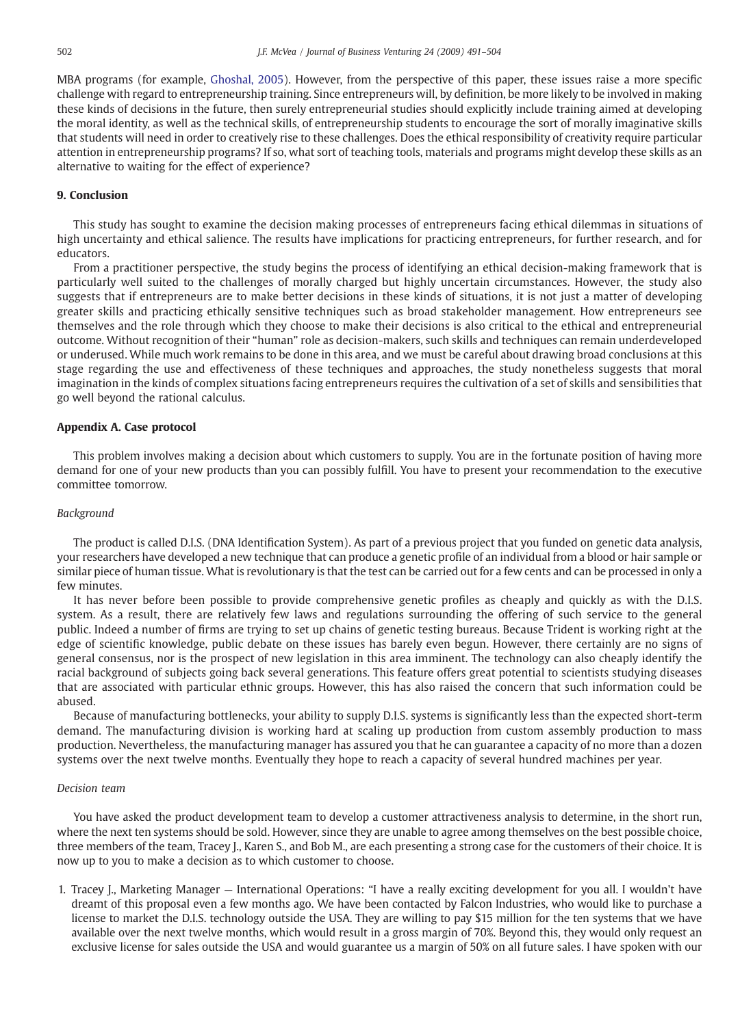MBA programs (for example, [Ghoshal, 2005](#page-13-0)). However, from the perspective of this paper, these issues raise a more specific challenge with regard to entrepreneurship training. Since entrepreneurs will, by definition, be more likely to be involved in making these kinds of decisions in the future, then surely entrepreneurial studies should explicitly include training aimed at developing the moral identity, as well as the technical skills, of entrepreneurship students to encourage the sort of morally imaginative skills that students will need in order to creatively rise to these challenges. Does the ethical responsibility of creativity require particular attention in entrepreneurship programs? If so, what sort of teaching tools, materials and programs might develop these skills as an alternative to waiting for the effect of experience?

### 9. Conclusion

This study has sought to examine the decision making processes of entrepreneurs facing ethical dilemmas in situations of high uncertainty and ethical salience. The results have implications for practicing entrepreneurs, for further research, and for educators.

From a practitioner perspective, the study begins the process of identifying an ethical decision-making framework that is particularly well suited to the challenges of morally charged but highly uncertain circumstances. However, the study also suggests that if entrepreneurs are to make better decisions in these kinds of situations, it is not just a matter of developing greater skills and practicing ethically sensitive techniques such as broad stakeholder management. How entrepreneurs see themselves and the role through which they choose to make their decisions is also critical to the ethical and entrepreneurial outcome. Without recognition of their "human" role as decision-makers, such skills and techniques can remain underdeveloped or underused. While much work remains to be done in this area, and we must be careful about drawing broad conclusions at this stage regarding the use and effectiveness of these techniques and approaches, the study nonetheless suggests that moral imagination in the kinds of complex situations facing entrepreneurs requires the cultivation of a set of skills and sensibilities that go well beyond the rational calculus.

#### Appendix A. Case protocol

This problem involves making a decision about which customers to supply. You are in the fortunate position of having more demand for one of your new products than you can possibly fulfill. You have to present your recommendation to the executive committee tomorrow.

#### Background

The product is called D.I.S. (DNA Identification System). As part of a previous project that you funded on genetic data analysis, your researchers have developed a new technique that can produce a genetic profile of an individual from a blood or hair sample or similar piece of human tissue. What is revolutionary is that the test can be carried out for a few cents and can be processed in only a few minutes.

It has never before been possible to provide comprehensive genetic profiles as cheaply and quickly as with the D.I.S. system. As a result, there are relatively few laws and regulations surrounding the offering of such service to the general public. Indeed a number of firms are trying to set up chains of genetic testing bureaus. Because Trident is working right at the edge of scientific knowledge, public debate on these issues has barely even begun. However, there certainly are no signs of general consensus, nor is the prospect of new legislation in this area imminent. The technology can also cheaply identify the racial background of subjects going back several generations. This feature offers great potential to scientists studying diseases that are associated with particular ethnic groups. However, this has also raised the concern that such information could be abused.

Because of manufacturing bottlenecks, your ability to supply D.I.S. systems is significantly less than the expected short-term demand. The manufacturing division is working hard at scaling up production from custom assembly production to mass production. Nevertheless, the manufacturing manager has assured you that he can guarantee a capacity of no more than a dozen systems over the next twelve months. Eventually they hope to reach a capacity of several hundred machines per year.

#### Decision team

You have asked the product development team to develop a customer attractiveness analysis to determine, in the short run, where the next ten systems should be sold. However, since they are unable to agree among themselves on the best possible choice, three members of the team, Tracey J., Karen S., and Bob M., are each presenting a strong case for the customers of their choice. It is now up to you to make a decision as to which customer to choose.

1. Tracey J., Marketing Manager — International Operations: "I have a really exciting development for you all. I wouldn't have dreamt of this proposal even a few months ago. We have been contacted by Falcon Industries, who would like to purchase a license to market the D.I.S. technology outside the USA. They are willing to pay \$15 million for the ten systems that we have available over the next twelve months, which would result in a gross margin of 70%. Beyond this, they would only request an exclusive license for sales outside the USA and would guarantee us a margin of 50% on all future sales. I have spoken with our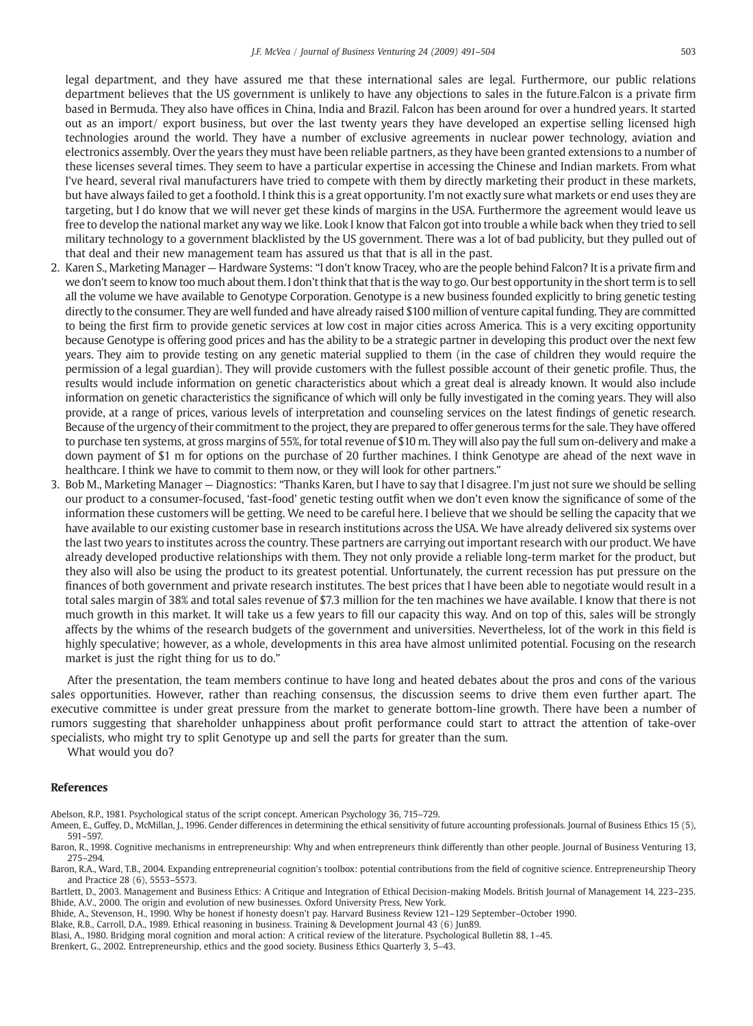<span id="page-12-0"></span>legal department, and they have assured me that these international sales are legal. Furthermore, our public relations department believes that the US government is unlikely to have any objections to sales in the future.Falcon is a private firm based in Bermuda. They also have offices in China, India and Brazil. Falcon has been around for over a hundred years. It started out as an import/ export business, but over the last twenty years they have developed an expertise selling licensed high technologies around the world. They have a number of exclusive agreements in nuclear power technology, aviation and electronics assembly. Over the years they must have been reliable partners, as they have been granted extensions to a number of these licenses several times. They seem to have a particular expertise in accessing the Chinese and Indian markets. From what I've heard, several rival manufacturers have tried to compete with them by directly marketing their product in these markets, but have always failed to get a foothold. I think this is a great opportunity. I'm not exactly sure what markets or end uses they are targeting, but I do know that we will never get these kinds of margins in the USA. Furthermore the agreement would leave us free to develop the national market any way we like. Look I know that Falcon got into trouble a while back when they tried to sell military technology to a government blacklisted by the US government. There was a lot of bad publicity, but they pulled out of that deal and their new management team has assured us that that is all in the past.

- 2. Karen S., Marketing Manager Hardware Systems: "I don't know Tracey, who are the people behind Falcon? It is a private firm and we don't seem to know too much about them. I don't think that that is the way to go. Our best opportunity in the short term is to sell all the volume we have available to Genotype Corporation. Genotype is a new business founded explicitly to bring genetic testing directly to the consumer. They are well funded and have already raised \$100 million of venture capital funding. They are committed to being the first firm to provide genetic services at low cost in major cities across America. This is a very exciting opportunity because Genotype is offering good prices and has the ability to be a strategic partner in developing this product over the next few years. They aim to provide testing on any genetic material supplied to them (in the case of children they would require the permission of a legal guardian). They will provide customers with the fullest possible account of their genetic profile. Thus, the results would include information on genetic characteristics about which a great deal is already known. It would also include information on genetic characteristics the significance of which will only be fully investigated in the coming years. They will also provide, at a range of prices, various levels of interpretation and counseling services on the latest findings of genetic research. Because of the urgency of their commitment to the project, they are prepared to offer generous terms for the sale. They have offered to purchase ten systems, at gross margins of 55%, for total revenue of \$10 m. They will also pay the full sum on-delivery and make a down payment of \$1 m for options on the purchase of 20 further machines. I think Genotype are ahead of the next wave in healthcare. I think we have to commit to them now, or they will look for other partners."
- 3. Bob M., Marketing Manager Diagnostics: "Thanks Karen, but I have to say that I disagree. I'm just not sure we should be selling our product to a consumer-focused, 'fast-food' genetic testing outfit when we don't even know the significance of some of the information these customers will be getting. We need to be careful here. I believe that we should be selling the capacity that we have available to our existing customer base in research institutions across the USA. We have already delivered six systems over the last two years to institutes across the country. These partners are carrying out important research with our product. We have already developed productive relationships with them. They not only provide a reliable long-term market for the product, but they also will also be using the product to its greatest potential. Unfortunately, the current recession has put pressure on the finances of both government and private research institutes. The best prices that I have been able to negotiate would result in a total sales margin of 38% and total sales revenue of \$7.3 million for the ten machines we have available. I know that there is not much growth in this market. It will take us a few years to fill our capacity this way. And on top of this, sales will be strongly affects by the whims of the research budgets of the government and universities. Nevertheless, lot of the work in this field is highly speculative; however, as a whole, developments in this area have almost unlimited potential. Focusing on the research market is just the right thing for us to do."

After the presentation, the team members continue to have long and heated debates about the pros and cons of the various sales opportunities. However, rather than reaching consensus, the discussion seems to drive them even further apart. The executive committee is under great pressure from the market to generate bottom-line growth. There have been a number of rumors suggesting that shareholder unhappiness about profit performance could start to attract the attention of take-over specialists, who might try to split Genotype up and sell the parts for greater than the sum.

What would you do?

#### References

Abelson, R.P., 1981. Psychological status of the script concept. American Psychology 36, 715–729.

Baron, R.A., Ward, T.B., 2004. Expanding entrepreneurial cognition's toolbox: potential contributions from the field of cognitive science. Entrepreneurship Theory and Practice 28 (6), 5553–5573.

Bartlett, D., 2003. Management and Business Ethics: A Critique and Integration of Ethical Decision-making Models. British Journal of Management 14, 223-235. Bhide, A.V., 2000. The origin and evolution of new businesses. Oxford University Press, New York.

Bhide, A., Stevenson, H., 1990. Why be honest if honesty doesn't pay. Harvard Business Review 121–129 September–October 1990.

Blake, R.B., Carroll, D.A., 1989. Ethical reasoning in business. Training & Development Journal 43 (6) Jun89.

Brenkert, G., 2002. Entrepreneurship, ethics and the good society. Business Ethics Quarterly 3, 5–43.

Ameen, E., Guffey, D., McMillan, J., 1996. Gender differences in determining the ethical sensitivity of future accounting professionals. Journal of Business Ethics 15 (5), 591–597.

Baron, R., 1998. Cognitive mechanisms in entrepreneurship: Why and when entrepreneurs think differently than other people. Journal of Business Venturing 13, 275–294.

Blasi, A., 1980. Bridging moral cognition and moral action: A critical review of the literature. Psychological Bulletin 88, 1–45.